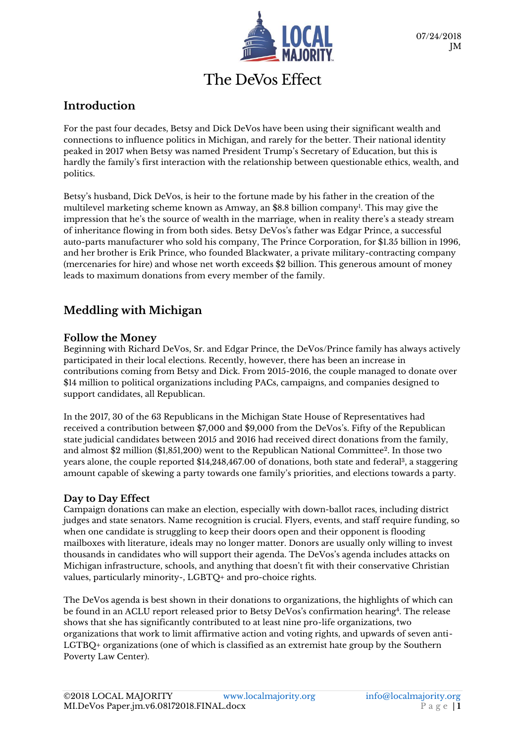

# The DeVos Effect

### **Introduction**

For the past four decades, Betsy and Dick DeVos have been using their significant wealth and connections to influence politics in Michigan, and rarely for the better. Their national identity peaked in 2017 when Betsy was named President Trump's Secretary of Education, but this is hardly the family's first interaction with the relationship between questionable ethics, wealth, and politics.

Betsy's husband, Dick DeVos, is heir to the fortune made by his father in the creation of the multilevel marketing scheme known as Amway, an \$8.8 billion company<sup>ı</sup>. This may give the impression that he's the source of wealth in the marriage, when in reality there's a steady stream of inheritance flowing in from both sides. Betsy DeVos's father was Edgar Prince, a successful auto-parts manufacturer who sold his company, The Prince Corporation, for \$1.35 billion in 1996, and her brother is Erik Prince, who founded Blackwater, a private military-contracting company (mercenaries for hire) and whose net worth exceeds \$2 billion. This generous amount of money leads to maximum donations from every member of the family.

## **Meddling with Michigan**

#### **Follow the Money**

Beginning with Richard DeVos, Sr. and Edgar Prince, the DeVos/Prince family has always actively participated in their local elections. Recently, however, there has been an increase in contributions coming from Betsy and Dick. From 2015-2016, the couple managed to donate over \$14 million to political organizations including PACs, campaigns, and companies designed to support candidates, all Republican.

In the 2017, 30 of the 63 Republicans in the Michigan State House of Representatives had received a contribution between \$7,000 and \$9,000 from the DeVos's. Fifty of the Republican state judicial candidates between 2015 and 2016 had received direct donations from the family, and almost \$2 million (\$1,851,200) went to the Republican National Committee<sup>2</sup>. In those two years alone, the couple reported \$14,248,467.00 of donations, both state and federal<sup>3</sup>, a staggering amount capable of skewing a party towards one family's priorities, and elections towards a party.

#### **Day to Day Effect**

Campaign donations can make an election, especially with down-ballot races, including district judges and state senators. Name recognition is crucial. Flyers, events, and staff require funding, so when one candidate is struggling to keep their doors open and their opponent is flooding mailboxes with literature, ideals may no longer matter. Donors are usually only willing to invest thousands in candidates who will support their agenda. The DeVos's agenda includes attacks on Michigan infrastructure, schools, and anything that doesn't fit with their conservative Christian values, particularly minority-, LGBTQ+ and pro-choice rights.

The DeVos agenda is best shown in their donations to organizations, the highlights of which can be found in an ACLU report released prior to Betsy DeVos's confirmation hearing<sup>4</sup>. The release shows that she has significantly contributed to at least nine pro-life organizations, two organizations that work to limit affirmative action and voting rights, and upwards of seven anti-LGTBQ+ organizations (one of which is classified as an extremist hate group by the Southern Poverty Law Center).